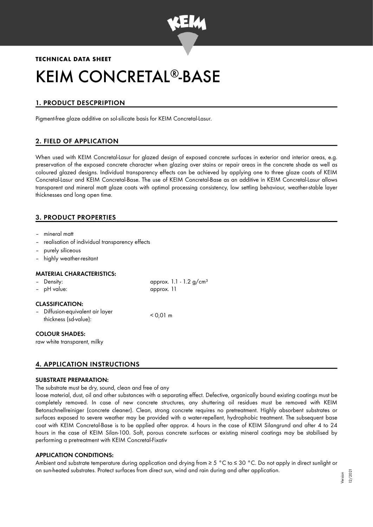

# **TECHNICAL DATA SHEET** KEIM CONCRETAL®-BASE

# 1. PRODUCT DESCPRIPTION

Pigment-free glaze additive on sol-silicate basis for KEIM Concretal-Lasur.

# 2. FIELD OF APPLICATION

When used with KEIM Concretal-Lasur for glazed design of exposed concrete surfaces in exterior and interior areas, e.g. preservation of the exposed concrete character when glazing over stains or repair areas in the concrete shade as well as coloured glazed designs. Individual transparency effects can be achieved by applying one to three glaze coats of KEIM Concretal-Lasur and KEIM Concretal-Base. The use of KEIM Concretal-Base as an additive in KEIM Concretal-Lasur allows transparent and mineral matt glaze coats with optimal processing consistency, low settling behaviour, weather-stable layer thicknesses and long open time.

# 3. PRODUCT PROPERTIES

- mineral matt
- realisation of individual transparency effects
- purely siliceous
- highly weather-resitant

#### MATERIAL CHARACTERISTICS:

| - Density:             | approx. 1.1 - 1.2 $g/cm^{3}$ |
|------------------------|------------------------------|
| - pH value:            | approx. 11                   |
| <b>CLASSIFICATION:</b> |                              |

- Diffusion-equivalent air layer thickness (sd-value): < 0,01 m
	-

## COLOUR SHADES:

raw white transparent, milky

## 4. APPLICATION INSTRUCTIONS

#### SUBSTRATE PREPARATION:

The substrate must be dry, sound, clean and free of any

loose material, dust, oil and other substances with a separating effect. Defective, organically bound existing coatings must be completely removed. In case of new concrete structures, any shuttering oil residues must be removed with KEIM Betonschnellreiniger (concrete cleaner). Clean, strong concrete requires no pretreatment. Highly absorbent substrates or surfaces exposed to severe weather may be provided with a water-repellent, hydrophobic treatment. The subsequent base coat with KEIM Concretal-Base is to be applied after approx. 4 hours in the case of KEIM Silangrund and after 4 to 24 hours in the case of KEIM Silan-100. Soft, porous concrete surfaces or existing mineral coatings may be stabilised by performing a pretreatment with KEIM Concretal-Fixativ

## APPLICATION CONDITIONS:

Ambient and substrate temperature during application and drying from ≥ 5 °C to ≤ 30 °C. Do not apply in direct sunlight or on sun-heated substrates. Protect surfaces from direct sun, wind and rain during and after application.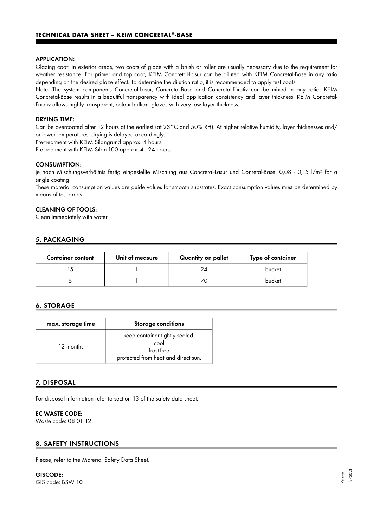#### APPLICATION:

Glazing coat: In exterior areas, two coats of glaze with a brush or roller are usually necessary due to the requirement for weather resistance. For primer and top coat, KEIM Concretal-Lasur can be diluted with KEIM Concretal-Base in any ratio depending on the desired glaze effect. To determine the dilution ratio, it is recommended to apply test coats.

Note: The system components Concretal-Lasur, Concretal-Base and Concretal-Fixativ can be mixed in any ratio. KEIM Concretal-Base results in a beautiful transparency with ideal application consistency and layer thickness. KEIM Concretal-Fixativ allows highly transparent, colour-brilliant glazes with very low layer thickness.

#### DRYING TIME:

Can be overcoated after 12 hours at the earliest (at 23°C and 50% RH). At higher relative humidity, layer thicknesses and/ or lower temperatures, drying is delayed accordingly.

Pre-treatment with KEIM Silangrund approx. 4 hours.

Pre-treatment with KEIM Silan-100 approx. 4 - 24 hours.

#### CONSUMPTION:

je nach Mischungsverhältnis fertig eingestellte Mischung aus Concretal-Lasur und Conretal-Base: 0,08 - 0,15 l/m² for a single coating.

These material consumption values are guide values for smooth substrates. Exact consumption values must be determined by means of test areas.

## CLEANING OF TOOLS:

Clean immediately with water.

## 5. PACKAGING

| <b>Container content</b> | Unit of measure | Quantity on pallet | Type of container |
|--------------------------|-----------------|--------------------|-------------------|
|                          |                 |                    | bucket            |
|                          |                 |                    | bucket            |

## 6. STORAGE

| max. storage time | <b>Storage conditions</b>                                                                   |
|-------------------|---------------------------------------------------------------------------------------------|
| 12 months         | keep container tightly sealed.<br>cool<br>frost-free<br>protected from heat and direct sun. |

## 7. DISPOSAL

For disposal information refer to section 13 of the safety data sheet.

#### EC WASTE CODE:

Waste code: 08 01 12

## 8. SAFETY INSTRUCTIONS

Please, refer to the Material Safety Data Sheet.

#### GISCODE: GIS code: BSW 10